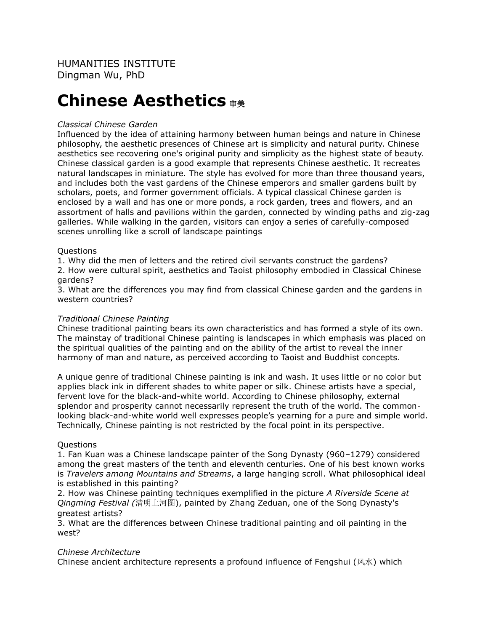# **Chinese Aesthetics** 审美

## *Classical Chinese Garden*

Influenced by the idea of attaining harmony between human beings and nature in Chinese philosophy, the aesthetic presences of Chinese art is simplicity and natural purity. Chinese aesthetics see recovering one's original purity and simplicity as the highest state of beauty. Chinese classical garden is a good example that represents Chinese aesthetic. It recreates natural landscapes in miniature. The style has evolved for more than three thousand years, and includes both the vast gardens of the Chinese emperors and smaller gardens built by scholars, poets, and former government officials. A typical classical Chinese garden is enclosed by a wall and has one or more ponds, a rock garden, trees and flowers, and an assortment of halls and pavilions within the garden, connected by winding paths and zig-zag galleries. While walking in the garden, visitors can enjoy a series of carefully-composed scenes unrolling like a scroll of landscape paintings

#### Questions

1. Why did the men of letters and the retired civil servants construct the gardens?

2. How were cultural spirit, aesthetics and Taoist philosophy embodied in Classical Chinese gardens?

3. What are the differences you may find from classical Chinese garden and the gardens in western countries?

## *Traditional Chinese Painting*

Chinese traditional painting bears its own characteristics and has formed a style of its own. The mainstay of traditional Chinese painting is landscapes in which emphasis was placed on the spiritual qualities of the painting and on the ability of the artist to reveal the inner harmony of man and nature, as perceived according to Taoist and Buddhist concepts.

A unique genre of traditional Chinese painting is ink and wash. It uses little or no color but applies black ink in different shades to white paper or silk. Chinese artists have a special, fervent love for the black-and-white world. According to Chinese philosophy, external splendor and prosperity cannot necessarily represent the truth of the world. The commonlooking black-and-white world well expresses people's yearning for a pure and simple world. Technically, Chinese painting is not restricted by the focal point in its perspective.

#### **Ouestions**

1. Fan Kuan was a Chinese landscape painter of the Song Dynasty (960–1279) considered among the great masters of the tenth and eleventh centuries. One of his best known works is *Travelers among Mountains and Streams*, a large hanging scroll. What philosophical ideal is established in this painting?

2. How was Chinese painting techniques exemplified in the picture *A Riverside Scene at Qingming Festival (*清明上河图), painted by Zhang Zeduan, one of the Song Dynasty's greatest artists?

3. What are the differences between Chinese traditional painting and oil painting in the west?

#### *Chinese Architecture*

Chinese ancient architecture represents a profound influence of Fengshui (风水) which